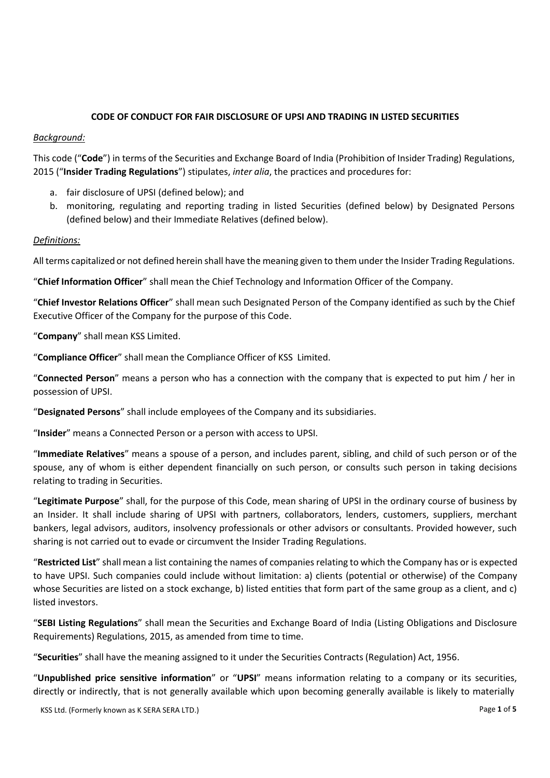# **CODE OF CONDUCT FOR FAIR DISCLOSURE OF UPSI AND TRADING IN LISTED SECURITIES**

## *Background:*

This code ("**Code**") in terms of the Securities and Exchange Board of India (Prohibition of Insider Trading) Regulations, 2015 ("**Insider Trading Regulations**") stipulates, *inter alia*, the practices and procedures for:

- a. fair disclosure of UPSI (defined below); and
- b. monitoring, regulating and reporting trading in listed Securities (defined below) by Designated Persons (defined below) and their Immediate Relatives (defined below).

# *Definitions:*

All terms capitalized or not defined herein shall have the meaning given to them under the Insider Trading Regulations.

"**Chief Information Officer**" shall mean the Chief Technology and Information Officer of the Company.

"**Chief Investor Relations Officer**" shall mean such Designated Person of the Company identified as such by the Chief Executive Officer of the Company for the purpose of this Code.

"**Company**" shall mean KSS Limited.

"**Compliance Officer**" shall mean the Compliance Officer of KSS Limited.

"**Connected Person**" means a person who has a connection with the company that is expected to put him / her in possession of UPSI.

"**Designated Persons**" shall include employees of the Company and its subsidiaries.

"**Insider**" means a Connected Person or a person with access to UPSI.

"**Immediate Relatives**" means a spouse of a person, and includes parent, sibling, and child of such person or of the spouse, any of whom is either dependent financially on such person, or consults such person in taking decisions relating to trading in Securities.

"**Legitimate Purpose**" shall, for the purpose of this Code, mean sharing of UPSI in the ordinary course of business by an Insider. It shall include sharing of UPSI with partners, collaborators, lenders, customers, suppliers, merchant bankers, legal advisors, auditors, insolvency professionals or other advisors or consultants. Provided however, such sharing is not carried out to evade or circumvent the Insider Trading Regulations.

"**Restricted List**" shall mean a list containing the names of companies relating to which the Company has or is expected to have UPSI. Such companies could include without limitation: a) clients (potential or otherwise) of the Company whose Securities are listed on a stock exchange, b) listed entities that form part of the same group as a client, and c) listed investors.

"**SEBI Listing Regulations**" shall mean the Securities and Exchange Board of India (Listing Obligations and Disclosure Requirements) Regulations, 2015, as amended from time to time.

"**Securities**" shall have the meaning assigned to it under the Securities Contracts (Regulation) Act, 1956.

"**Unpublished price sensitive information**" or "**UPSI**" means information relating to a company or its securities, directly or indirectly, that is not generally available which upon becoming generally available is likely to materially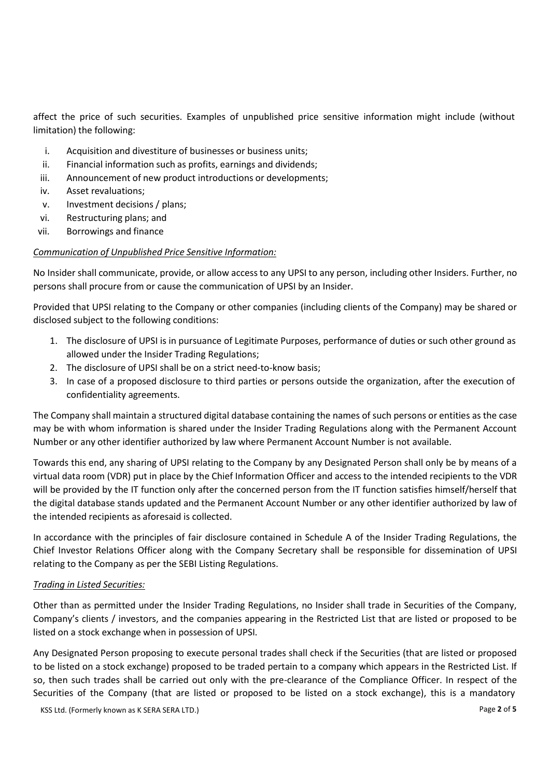affect the price of such securities. Examples of unpublished price sensitive information might include (without limitation) the following:

- i. Acquisition and divestiture of businesses or business units;
- ii. Financial information such as profits, earnings and dividends;
- iii. Announcement of new product introductions or developments;
- iv. Asset revaluations;
- v. Investment decisions / plans;
- vi. Restructuring plans; and
- vii. Borrowings and finance

### *Communication of Unpublished Price Sensitive Information:*

No Insider shall communicate, provide, or allow accessto any UPSI to any person, including other Insiders. Further, no persons shall procure from or cause the communication of UPSI by an Insider.

Provided that UPSI relating to the Company or other companies (including clients of the Company) may be shared or disclosed subject to the following conditions:

- 1. The disclosure of UPSI is in pursuance of Legitimate Purposes, performance of duties or such other ground as allowed under the Insider Trading Regulations;
- 2. The disclosure of UPSI shall be on a strict need-to-know basis;
- 3. In case of a proposed disclosure to third parties or persons outside the organization, after the execution of confidentiality agreements.

The Company shall maintain a structured digital database containing the names of such persons or entities as the case may be with whom information is shared under the Insider Trading Regulations along with the Permanent Account Number or any other identifier authorized by law where Permanent Account Number is not available.

Towards this end, any sharing of UPSI relating to the Company by any Designated Person shall only be by means of a virtual data room (VDR) put in place by the Chief Information Officer and access to the intended recipients to the VDR will be provided by the IT function only after the concerned person from the IT function satisfies himself/herself that the digital database stands updated and the Permanent Account Number or any other identifier authorized by law of the intended recipients as aforesaid is collected.

In accordance with the principles of fair disclosure contained in Schedule A of the Insider Trading Regulations, the Chief Investor Relations Officer along with the Company Secretary shall be responsible for dissemination of UPSI relating to the Company as per the SEBI Listing Regulations.

### *Trading in Listed Securities:*

Other than as permitted under the Insider Trading Regulations, no Insider shall trade in Securities of the Company, Company's clients / investors, and the companies appearing in the Restricted List that are listed or proposed to be listed on a stock exchange when in possession of UPSI.

Any Designated Person proposing to execute personal trades shall check if the Securities (that are listed or proposed to be listed on a stock exchange) proposed to be traded pertain to a company which appears in the Restricted List. If so, then such trades shall be carried out only with the pre-clearance of the Compliance Officer. In respect of the Securities of the Company (that are listed or proposed to be listed on a stock exchange), this is a mandatory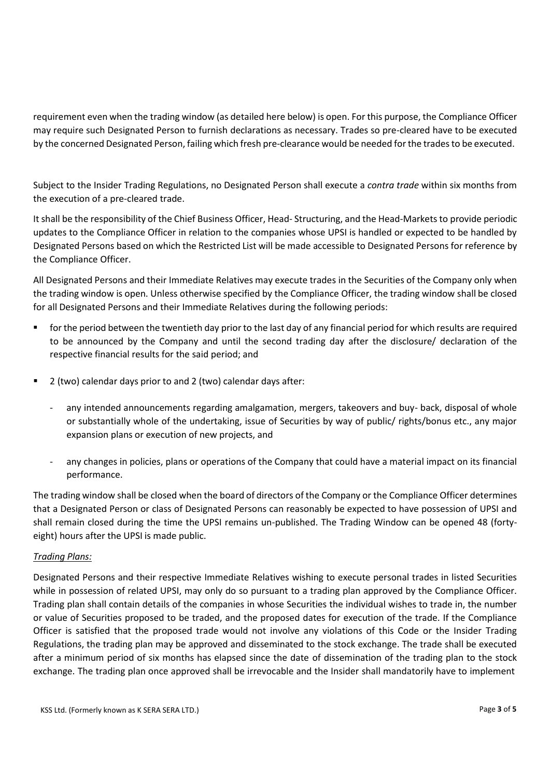requirement even when the trading window (as detailed here below) is open. For this purpose, the Compliance Officer may require such Designated Person to furnish declarations as necessary. Trades so pre-cleared have to be executed by the concerned Designated Person, failing which fresh pre-clearance would be needed for the trades to be executed.

Subject to the Insider Trading Regulations, no Designated Person shall execute a *contra trade* within six months from the execution of a pre-cleared trade.

It shall be the responsibility of the Chief Business Officer, Head- Structuring, and the Head-Markets to provide periodic updates to the Compliance Officer in relation to the companies whose UPSI is handled or expected to be handled by Designated Persons based on which the Restricted List will be made accessible to Designated Persons for reference by the Compliance Officer.

All Designated Persons and their Immediate Relatives may execute trades in the Securities of the Company only when the trading window is open. Unless otherwise specified by the Compliance Officer, the trading window shall be closed for all Designated Persons and their Immediate Relatives during the following periods:

- for the period between the twentieth day prior to the last day of any financial period for which results are required to be announced by the Company and until the second trading day after the disclosure/ declaration of the respective financial results for the said period; and
- 2 (two) calendar days prior to and 2 (two) calendar days after:
	- any intended announcements regarding amalgamation, mergers, takeovers and buy- back, disposal of whole or substantially whole of the undertaking, issue of Securities by way of public/ rights/bonus etc., any major expansion plans or execution of new projects, and
	- any changes in policies, plans or operations of the Company that could have a material impact on its financial performance.

The trading window shall be closed when the board of directors of the Company or the Compliance Officer determines that a Designated Person or class of Designated Persons can reasonably be expected to have possession of UPSI and shall remain closed during the time the UPSI remains un-published. The Trading Window can be opened 48 (fortyeight) hours after the UPSI is made public.

### *Trading Plans:*

Designated Persons and their respective Immediate Relatives wishing to execute personal trades in listed Securities while in possession of related UPSI, may only do so pursuant to a trading plan approved by the Compliance Officer. Trading plan shall contain details of the companies in whose Securities the individual wishes to trade in, the number or value of Securities proposed to be traded, and the proposed dates for execution of the trade. If the Compliance Officer is satisfied that the proposed trade would not involve any violations of this Code or the Insider Trading Regulations, the trading plan may be approved and disseminated to the stock exchange. The trade shall be executed after a minimum period of six months has elapsed since the date of dissemination of the trading plan to the stock exchange. The trading plan once approved shall be irrevocable and the Insider shall mandatorily have to implement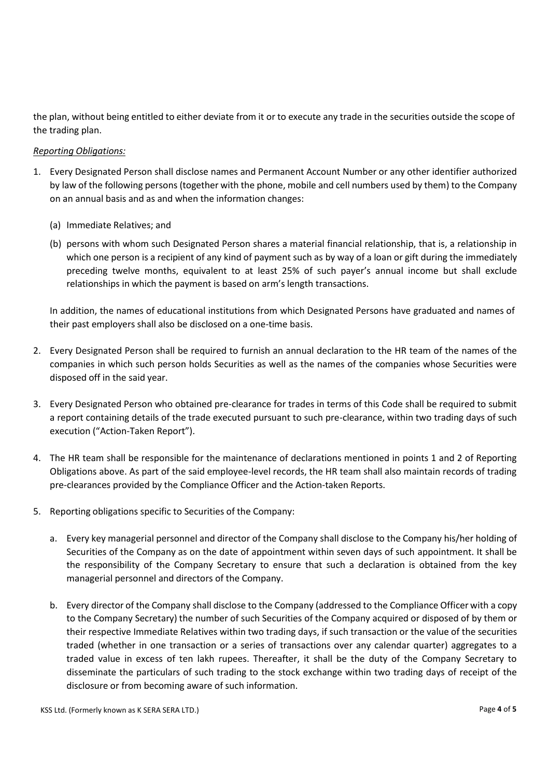the plan, without being entitled to either deviate from it or to execute any trade in the securities outside the scope of the trading plan.

## *Reporting Obligations:*

- 1. Every Designated Person shall disclose names and Permanent Account Number or any other identifier authorized by law of the following persons (together with the phone, mobile and cell numbers used by them) to the Company on an annual basis and as and when the information changes:
	- (a) Immediate Relatives; and
	- (b) persons with whom such Designated Person shares a material financial relationship, that is, a relationship in which one person is a recipient of any kind of payment such as by way of a loan or gift during the immediately preceding twelve months, equivalent to at least 25% of such payer's annual income but shall exclude relationships in which the payment is based on arm's length transactions.

In addition, the names of educational institutions from which Designated Persons have graduated and names of their past employers shall also be disclosed on a one-time basis.

- 2. Every Designated Person shall be required to furnish an annual declaration to the HR team of the names of the companies in which such person holds Securities as well as the names of the companies whose Securities were disposed off in the said year.
- 3. Every Designated Person who obtained pre-clearance for trades in terms of this Code shall be required to submit a report containing details of the trade executed pursuant to such pre-clearance, within two trading days of such execution ("Action-Taken Report").
- 4. The HR team shall be responsible for the maintenance of declarations mentioned in points 1 and 2 of Reporting Obligations above. As part of the said employee-level records, the HR team shall also maintain records of trading pre-clearances provided by the Compliance Officer and the Action-taken Reports.
- 5. Reporting obligations specific to Securities of the Company:
	- a. Every key managerial personnel and director of the Company shall disclose to the Company his/her holding of Securities of the Company as on the date of appointment within seven days of such appointment. It shall be the responsibility of the Company Secretary to ensure that such a declaration is obtained from the key managerial personnel and directors of the Company.
	- b. Every director of the Company shall disclose to the Company (addressed to the Compliance Officer with a copy to the Company Secretary) the number of such Securities of the Company acquired or disposed of by them or their respective Immediate Relatives within two trading days, if such transaction or the value of the securities traded (whether in one transaction or a series of transactions over any calendar quarter) aggregates to a traded value in excess of ten lakh rupees. Thereafter, it shall be the duty of the Company Secretary to disseminate the particulars of such trading to the stock exchange within two trading days of receipt of the disclosure or from becoming aware of such information.